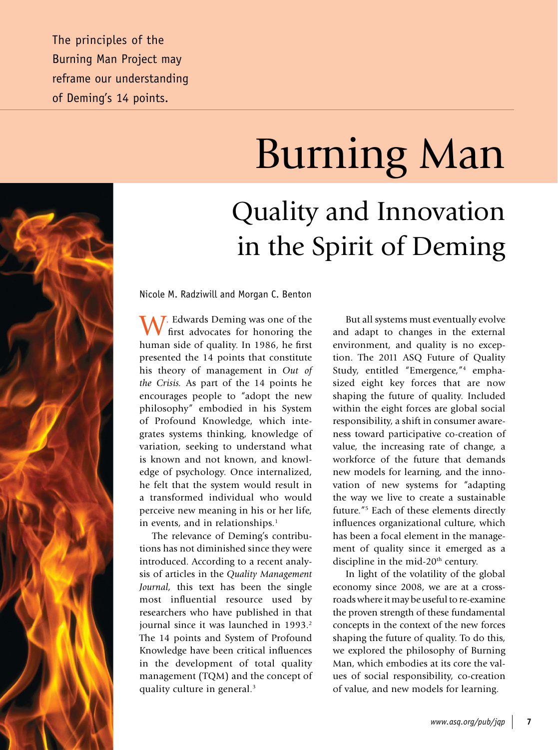The principles of the Burning Man Project may reframe our understanding of Deming's 14 points.

# Burning Man Quality and Innovation

in the Spirit of Deming

Nicole M. Radziwill and Morgan C. Benton

W. Edwards Deming was one of the first advocates for honoring the human side of quality. In 1986, he first presented the 14 points that constitute his theory of management in *Out of the Crisis.* As part of the 14 points he encourages people to "adopt the new philosophy" embodied in his System of Profound Knowledge, which integrates systems thinking, knowledge of variation, seeking to understand what is known and not known, and knowledge of psychology. Once internalized, he felt that the system would result in a transformed individual who would perceive new meaning in his or her life, in events, and in relationships.<sup>1</sup>

The relevance of Deming's contributions has not diminished since they were introduced. According to a recent analysis of articles in the *Quality Management Journal,* this text has been the single most influential resource used by researchers who have published in that journal since it was launched in 1993.<sup>2</sup> The 14 points and System of Profound Knowledge have been critical influences in the development of total quality management (TQM) and the concept of quality culture in general.<sup>3</sup>

But all systems must eventually evolve and adapt to changes in the external environment, and quality is no exception. The 2011 ASQ Future of Quality Study, entitled "Emergence,"4 emphasized eight key forces that are now shaping the future of quality. Included within the eight forces are global social responsibility, a shift in consumer awareness toward participative co-creation of value, the increasing rate of change, a workforce of the future that demands new models for learning, and the innovation of new systems for "adapting the way we live to create a sustainable future."5 Each of these elements directly influences organizational culture, which has been a focal element in the management of quality since it emerged as a discipline in the mid-20<sup>th</sup> century.

In light of the volatility of the global economy since 2008, we are at a crossroads where it may be useful to re-examine the proven strength of these fundamental concepts in the context of the new forces shaping the future of quality. To do this, we explored the philosophy of Burning Man, which embodies at its core the values of social responsibility, co-creation of value, and new models for learning.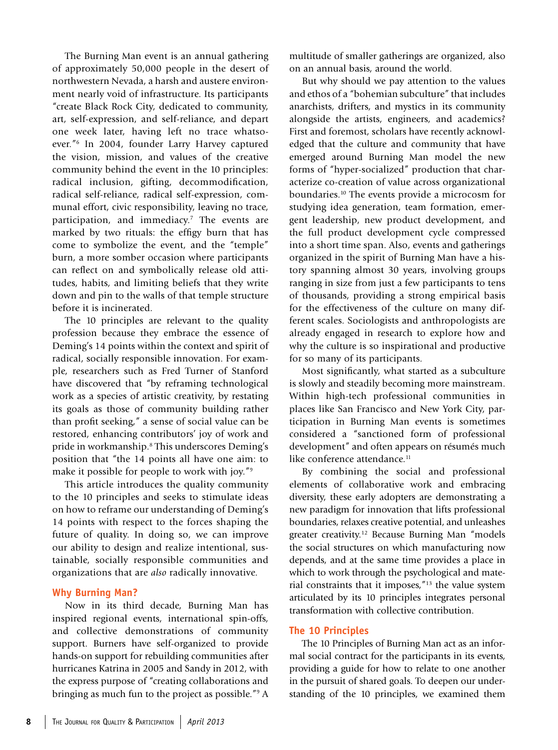The Burning Man event is an annual gathering of approximately 50,000 people in the desert of northwestern Nevada, a harsh and austere environment nearly void of infrastructure. Its participants "create Black Rock City, dedicated to community, art, self-expression, and self-reliance, and depart one week later, having left no trace whatsoever."6 In 2004, founder Larry Harvey captured the vision, mission, and values of the creative community behind the event in the 10 principles: radical inclusion, gifting, decommodification, radical self-reliance, radical self-expression, communal effort, civic responsibility, leaving no trace, participation, and immediacy.<sup>7</sup> The events are marked by two rituals: the effigy burn that has come to symbolize the event, and the "temple" burn, a more somber occasion where participants can reflect on and symbolically release old attitudes, habits, and limiting beliefs that they write down and pin to the walls of that temple structure before it is incinerated.

The 10 principles are relevant to the quality profession because they embrace the essence of Deming's 14 points within the context and spirit of radical, socially responsible innovation. For example, researchers such as Fred Turner of Stanford have discovered that "by reframing technological work as a species of artistic creativity, by restating its goals as those of community building rather than profit seeking," a sense of social value can be restored, enhancing contributors' joy of work and pride in workmanship.8 This underscores Deming's position that "the 14 points all have one aim: to make it possible for people to work with joy."9

This article introduces the quality community to the 10 principles and seeks to stimulate ideas on how to reframe our understanding of Deming's 14 points with respect to the forces shaping the future of quality. In doing so, we can improve our ability to design and realize intentional, sustainable, socially responsible communities and organizations that are *also* radically innovative.

## **Why Burning Man?**

Now in its third decade, Burning Man has inspired regional events, international spin-offs, and collective demonstrations of community support. Burners have self-organized to provide hands-on support for rebuilding communities after hurricanes Katrina in 2005 and Sandy in 2012, with the express purpose of "creating collaborations and bringing as much fun to the project as possible."9 A multitude of smaller gatherings are organized, also on an annual basis, around the world.

But why should we pay attention to the values and ethos of a "bohemian subculture" that includes anarchists, drifters, and mystics in its community alongside the artists, engineers, and academics? First and foremost, scholars have recently acknowledged that the culture and community that have emerged around Burning Man model the new forms of "hyper-socialized" production that characterize co-creation of value across organizational boundaries.10 The events provide a microcosm for studying idea generation, team formation, emergent leadership, new product development, and the full product development cycle compressed into a short time span. Also, events and gatherings organized in the spirit of Burning Man have a history spanning almost 30 years, involving groups ranging in size from just a few participants to tens of thousands, providing a strong empirical basis for the effectiveness of the culture on many different scales. Sociologists and anthropologists are already engaged in research to explore how and why the culture is so inspirational and productive for so many of its participants.

Most significantly, what started as a subculture is slowly and steadily becoming more mainstream. Within high-tech professional communities in places like San Francisco and New York City, participation in Burning Man events is sometimes considered a "sanctioned form of professional development" and often appears on résumés much like conference attendance.<sup>11</sup>

By combining the social and professional elements of collaborative work and embracing diversity, these early adopters are demonstrating a new paradigm for innovation that lifts professional boundaries, relaxes creative potential, and unleashes greater creativity.12 Because Burning Man "models the social structures on which manufacturing now depends, and at the same time provides a place in which to work through the psychological and material constraints that it imposes,"13 the value system articulated by its 10 principles integrates personal transformation with collective contribution.

### **The 10 Principles**

The 10 Principles of Burning Man act as an informal social contract for the participants in its events, providing a guide for how to relate to one another in the pursuit of shared goals. To deepen our understanding of the 10 principles, we examined them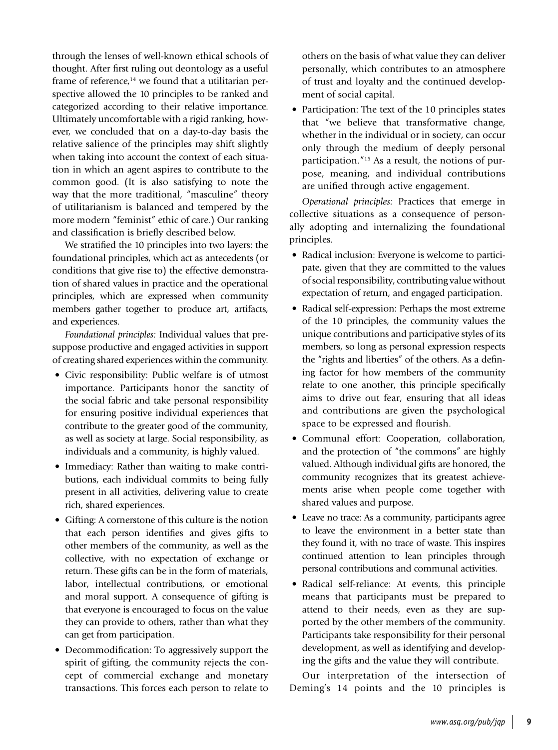through the lenses of well-known ethical schools of thought. After first ruling out deontology as a useful frame of reference, $14$  we found that a utilitarian perspective allowed the 10 principles to be ranked and categorized according to their relative importance. Ultimately uncomfortable with a rigid ranking, however, we concluded that on a day-to-day basis the relative salience of the principles may shift slightly when taking into account the context of each situation in which an agent aspires to contribute to the common good. (It is also satisfying to note the way that the more traditional, "masculine" theory of utilitarianism is balanced and tempered by the more modern "feminist" ethic of care.) Our ranking and classification is briefly described below.

We stratified the 10 principles into two layers: the foundational principles, which act as antecedents (or conditions that give rise to) the effective demonstration of shared values in practice and the operational principles, which are expressed when community members gather together to produce art, artifacts, and experiences.

*Foundational principles:* Individual values that presuppose productive and engaged activities in support of creating shared experiences within the community.

- Civic responsibility: Public welfare is of utmost importance. Participants honor the sanctity of the social fabric and take personal responsibility for ensuring positive individual experiences that contribute to the greater good of the community, as well as society at large. Social responsibility, as individuals and a community, is highly valued.
- Immediacy: Rather than waiting to make contributions, each individual commits to being fully present in all activities, delivering value to create rich, shared experiences.
- Gifting: A cornerstone of this culture is the notion that each person identifies and gives gifts to other members of the community, as well as the collective, with no expectation of exchange or return. These gifts can be in the form of materials, labor, intellectual contributions, or emotional and moral support. A consequence of gifting is that everyone is encouraged to focus on the value they can provide to others, rather than what they can get from participation.
- Decommodification: To aggressively support the spirit of gifting, the community rejects the concept of commercial exchange and monetary transactions. This forces each person to relate to

others on the basis of what value they can deliver personally, which contributes to an atmosphere of trust and loyalty and the continued development of social capital.

• Participation: The text of the 10 principles states that "we believe that transformative change, whether in the individual or in society, can occur only through the medium of deeply personal participation."15 As a result, the notions of purpose, meaning, and individual contributions are unified through active engagement.

*Operational principles:* Practices that emerge in collective situations as a consequence of personally adopting and internalizing the foundational principles.

- Radical inclusion: Everyone is welcome to participate, given that they are committed to the values of social responsibility, contributing value without expectation of return, and engaged participation.
- Radical self-expression: Perhaps the most extreme of the 10 principles, the community values the unique contributions and participative styles of its members, so long as personal expression respects the "rights and liberties" of the others. As a defining factor for how members of the community relate to one another, this principle specifically aims to drive out fear, ensuring that all ideas and contributions are given the psychological space to be expressed and flourish.
- Communal effort: Cooperation, collaboration, and the protection of "the commons" are highly valued. Although individual gifts are honored, the community recognizes that its greatest achievements arise when people come together with shared values and purpose.
- Leave no trace: As a community, participants agree to leave the environment in a better state than they found it, with no trace of waste. This inspires continued attention to lean principles through personal contributions and communal activities.
- Radical self-reliance: At events, this principle means that participants must be prepared to attend to their needs, even as they are supported by the other members of the community. Participants take responsibility for their personal development, as well as identifying and developing the gifts and the value they will contribute.

Our interpretation of the intersection of Deming's 14 points and the 10 principles is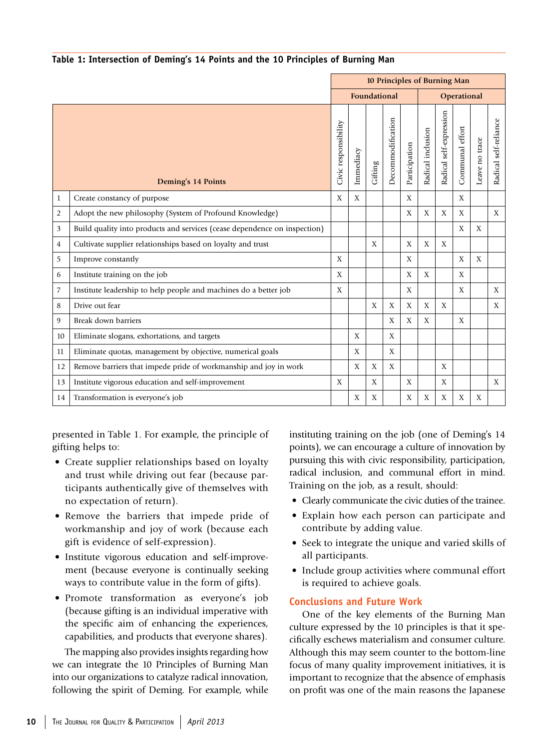| Table 1: Intersection of Deming's 14 Points and the 10 Principles of Burning Man |  |  |  |
|----------------------------------------------------------------------------------|--|--|--|
|                                                                                  |  |  |  |

|                |                                                                           | 10 Principles of Burning Man |           |              |                   |               |                   |                         |                 |                |                       |
|----------------|---------------------------------------------------------------------------|------------------------------|-----------|--------------|-------------------|---------------|-------------------|-------------------------|-----------------|----------------|-----------------------|
|                |                                                                           | Foundational                 |           |              |                   |               | Operational       |                         |                 |                |                       |
|                | Deming's 14 Points                                                        | Civic responsibility         | Immediacy | Gifting      | Decommodification | Participation | Radical inclusion | Radical self-expression | Communal effort | Leave no trace | Radical self-reliance |
| $\mathbf{1}$   | Create constancy of purpose                                               | X                            | X         |              |                   | X             |                   |                         | X               |                |                       |
| $\overline{2}$ | Adopt the new philosophy (System of Profound Knowledge)                   |                              |           |              |                   | X             | X                 | X                       | X               |                | X                     |
| 3              | Build quality into products and services (cease dependence on inspection) |                              |           |              |                   |               |                   |                         | X               | X              |                       |
| 4              | Cultivate supplier relationships based on loyalty and trust               |                              |           | $\mathbf{X}$ |                   | X             | X                 | X                       |                 |                |                       |
| 5              | Improve constantly                                                        | X                            |           |              |                   | X             |                   |                         | X               | X              |                       |
| 6              | Institute training on the job                                             | X                            |           |              |                   | X             | X                 |                         | X               |                |                       |
| 7              | Institute leadership to help people and machines do a better job          | X                            |           |              |                   | X             |                   |                         | X               |                | X                     |
| 8              | Drive out fear                                                            |                              |           | X            | X                 | X             | X                 | X                       |                 |                | X                     |
| 9              | Break down barriers                                                       |                              |           |              | X                 | X             | X                 |                         | X               |                |                       |
| 10             | Eliminate slogans, exhortations, and targets                              |                              | X         |              | X                 |               |                   |                         |                 |                |                       |
| 11             | Eliminate quotas, management by objective, numerical goals                |                              | X         |              | X                 |               |                   |                         |                 |                |                       |
| 12             | Remove barriers that impede pride of workmanship and joy in work          |                              | X         | X            | X                 |               |                   | X                       |                 |                |                       |
| 13             | Institute vigorous education and self-improvement                         | X                            |           | X            |                   | X             |                   | X                       |                 |                | X                     |
| 14             | Transformation is everyone's job                                          |                              | X         | X            |                   | X             | X                 | X                       | X               | X              |                       |

presented in Table 1. For example, the principle of gifting helps to:

- Create supplier relationships based on loyalty and trust while driving out fear (because participants authentically give of themselves with no expectation of return).
- Remove the barriers that impede pride of workmanship and joy of work (because each gift is evidence of self-expression).
- Institute vigorous education and self-improvement (because everyone is continually seeking ways to contribute value in the form of gifts).
- Promote transformation as everyone's job (because gifting is an individual imperative with the specific aim of enhancing the experiences, capabilities, and products that everyone shares).

The mapping also provides insights regarding how we can integrate the 10 Principles of Burning Man into our organizations to catalyze radical innovation, following the spirit of Deming. For example, while

instituting training on the job (one of Deming's 14 points), we can encourage a culture of innovation by pursuing this with civic responsibility, participation, radical inclusion, and communal effort in mind. Training on the job, as a result, should:

- Clearly communicate the civic duties of the trainee.
- Explain how each person can participate and contribute by adding value.
- Seek to integrate the unique and varied skills of all participants.
- Include group activities where communal effort is required to achieve goals.

## **Conclusions and Future Work**

One of the key elements of the Burning Man culture expressed by the 10 principles is that it specifically eschews materialism and consumer culture. Although this may seem counter to the bottom-line focus of many quality improvement initiatives, it is important to recognize that the absence of emphasis on profit was one of the main reasons the Japanese